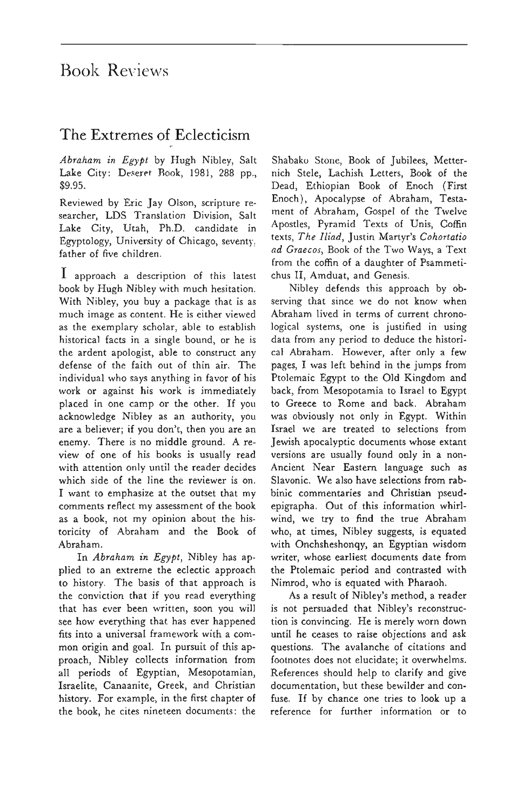## Book Reviews

## The Extremes of Eclecticism

*Abraham in Egypt* by Hugh Nibley, Salt Lake City: Deseret Rook, 1981, 288 pp., \$9.95.

Reviewed by Eric Jay Olson, scripture researcher, LDS Translation Division, Salt Lake City, Utah, Ph.D. candidate in Egyptology, University of Chicago, seventy; father of five children.

1 approach a description of this latest book by Hugh Nibley with much hesitation. With Nibley, you buy a package that is as much image as content. He is either viewed as the exemplary scholar, able to establish historical facts in a single bound, or he is the ardent apologist, able to construct any defense of the faith out of thin air. The individual who says anything in favor of his work or against his work is immediately placed in one camp or the other. If you acknowledge Nibley as an authority, you are a believer; if you don't, then you are an enemy. There is no middle ground. A review of one of his books is usually read with attention only until the reader decides which side of the line the reviewer is on. I want to emphasize at the outset that my comments reflect my assessment of the book as a book, not my opinion about the historicity of Abraham and the Book of Abraham.

In *Abraham in Egypt,* Nibley has applied to an extreme the eclectic approach to history. The basis of that approach is the conviction that if you read everything that has ever been written, soon you will see how everything that has ever happened fits into a universal framework with a common origin and goal. In pursuit of this approach, Nibley collects information from all periods of Egyptian, Mesopotamian, Israelite, Canaanite, Greek, and Christian history. For example, in the first chapter of the book, he cites nineteen documents: the

Shabako Stone, Book of Jubilees, Metternich Stele, Lachish Letters, Book of the Dead, Ethiopian Book of Enoch (First Enoch), Apocalypse of Abraham, Testament of Abraham, Gospel of the Twelve Apostles, Pyramid Texts of Unis, Coffin texts, *The Iliad,* Justin Martyr's *Cohortatio ad Graecos,* Book of the Two Ways, a Text from the coffin of a daughter of Psammetichus II, Amduat, and Genesis.

Nibley defends this approach by observing that since we do not know when Abraham lived in terms of current chronological systems, one is justified in using data from any period to deduce the historical Abraham. However, after only a few pages, I was left behind in the jumps from Ptolemaic Egypt to the Old Kingdom and back, from Mesopotamia to Israel to Egypt to Greece to Rome and back. Abraham was obviously not only in Egypt. Within Israel we are treated to selections from Jewish apocalyptic documents whose extant versions are usually found only in a non-Ancient Near Eastern language such as Slavonic. We also have selections from rabbinic commentaries and Christian pseudepigrapha. Out of this information whirlwind, we try to find the true Abraham who, at times, Nibley suggests, is equated with Onchsheshonqy, an Egyptian wisdom writer, whose earliest documents date from the Ptolemaic period and contrasted with Nimrod, who is equated with Pharaoh.

As a result of Nibley's method, a reader is not persuaded that Nibley's reconstruction is convincing. He is merely worn down until he ceases to raise objections and ask questions. The avalanche of citations and footnotes does not elucidate; it overwhelms. References should help to clarify and give documentation, but these bewilder and confuse. If by chance one tries to look up a reference for further information or to